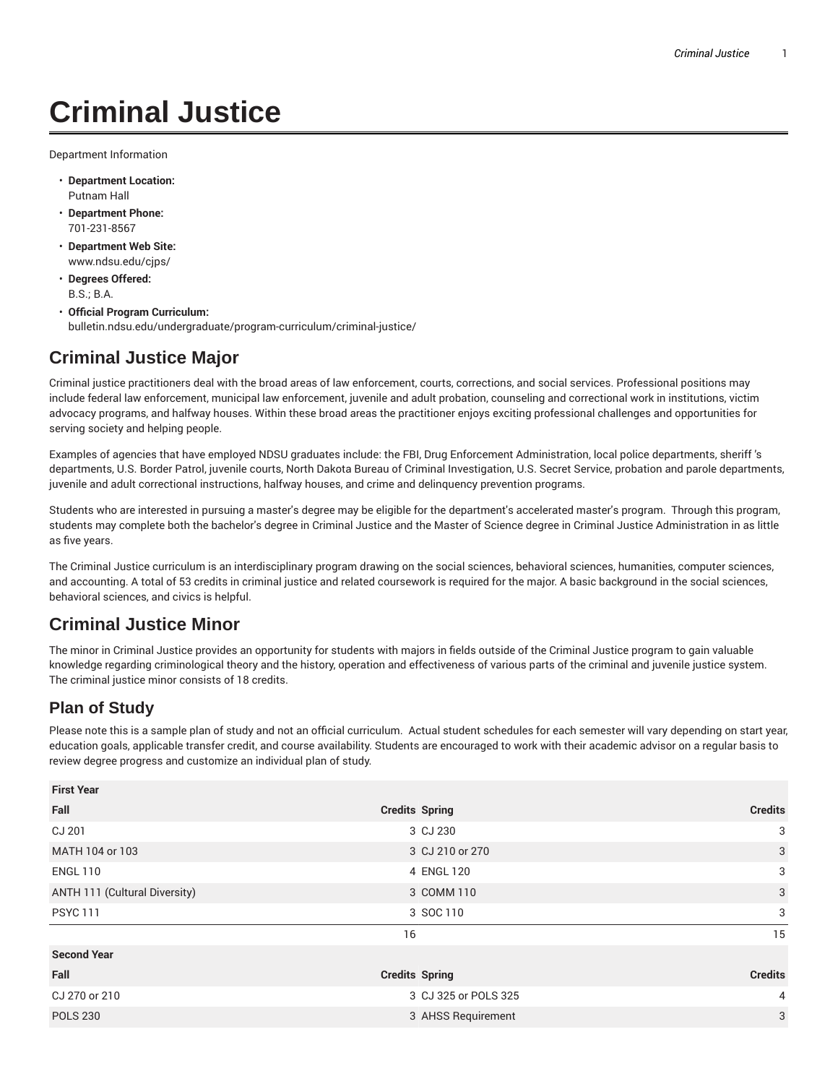## **Criminal Justice**

Department Information

- **Department Location:** Putnam Hall
- **Department Phone:** 701-231-8567
- **Department Web Site:** www.ndsu.edu/cjps/
- **Degrees Offered:** B.S.; B.A.
- **Official Program Curriculum:** bulletin.ndsu.edu/undergraduate/program-curriculum/criminal-justice/

## **Criminal Justice Major**

Criminal justice practitioners deal with the broad areas of law enforcement, courts, corrections, and social services. Professional positions may include federal law enforcement, municipal law enforcement, juvenile and adult probation, counseling and correctional work in institutions, victim advocacy programs, and halfway houses. Within these broad areas the practitioner enjoys exciting professional challenges and opportunities for serving society and helping people.

Examples of agencies that have employed NDSU graduates include: the FBI, Drug Enforcement Administration, local police departments, sheriff 's departments, U.S. Border Patrol, juvenile courts, North Dakota Bureau of Criminal Investigation, U.S. Secret Service, probation and parole departments, juvenile and adult correctional instructions, halfway houses, and crime and delinquency prevention programs.

Students who are interested in pursuing a master's degree may be eligible for the department's accelerated master's program. Through this program, students may complete both the bachelor's degree in Criminal Justice and the Master of Science degree in Criminal Justice Administration in as little as five years.

The Criminal Justice curriculum is an interdisciplinary program drawing on the social sciences, behavioral sciences, humanities, computer sciences, and accounting. A total of 53 credits in criminal justice and related coursework is required for the major. A basic background in the social sciences, behavioral sciences, and civics is helpful.

## **Criminal Justice Minor**

The minor in Criminal Justice provides an opportunity for students with majors in fields outside of the Criminal Justice program to gain valuable knowledge regarding criminological theory and the history, operation and effectiveness of various parts of the criminal and juvenile justice system. The criminal justice minor consists of 18 credits.

## **Plan of Study**

Please note this is a sample plan of study and not an official curriculum. Actual student schedules for each semester will vary depending on start year, education goals, applicable transfer credit, and course availability. Students are encouraged to work with their academic advisor on a regular basis to review degree progress and customize an individual plan of study.

| <b>First Year</b>             |                       |                |  |
|-------------------------------|-----------------------|----------------|--|
| Fall                          | <b>Credits Spring</b> | <b>Credits</b> |  |
| CJ 201                        | 3 CJ 230              | 3              |  |
| MATH 104 or 103               | 3 CJ 210 or 270       | 3              |  |
| <b>ENGL 110</b>               | 4 ENGL 120            | $\sqrt{3}$     |  |
| ANTH 111 (Cultural Diversity) | 3 COMM 110            | 3              |  |
| <b>PSYC 111</b>               | 3 SOC 110             | 3              |  |
|                               | 16                    | 15             |  |
| <b>Second Year</b>            |                       |                |  |
| Fall                          | <b>Credits Spring</b> | <b>Credits</b> |  |
| CJ 270 or 210                 | 3 CJ 325 or POLS 325  | $\overline{4}$ |  |
| <b>POLS 230</b>               | 3 AHSS Requirement    | 3              |  |